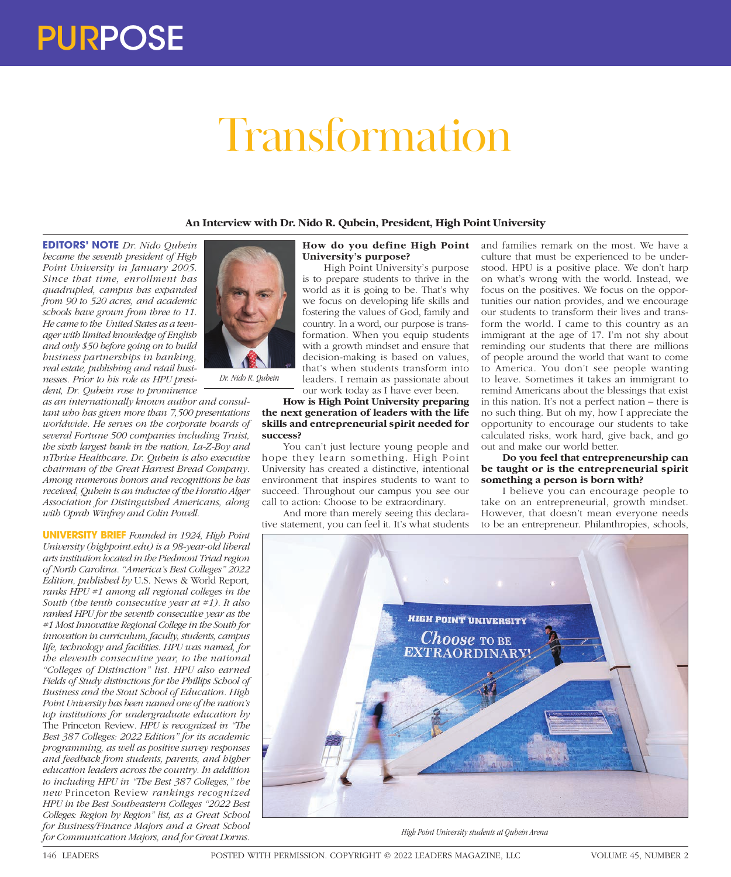# PURPOSE

# Transformation

# **An Interview with Dr. Nido R. Qubein, President, High Point University**

**EDITORS' NOTE** *Dr. Nido Qubein became the seventh president of High Point University in January 2005. Since that time, enrollment has quadrupled, campus has expanded from 90 to 520 acres, and academic schools have grown from three to 11. He came to the United States as a teenager with limited knowledge of English and only \$50 before going on to build business partnerships in banking, real estate, publishing and retail businesses. Prior to his role as HPU president, Dr. Qubein rose to prominence* 

*as an internationally known author and consultant who has given more than 7,500 presentations worldwide. He serves on the corporate boards of several Fortune 500 companies including Truist, the sixth largest bank in the nation, La-Z-Boy and nThrive Healthcare. Dr. Qubein is also executive chairman of the Great Harvest Bread Company. Among numerous honors and recognitions he has received, Qubein is an inductee of the Horatio Alger Association for Distinguished Americans, along with Oprah Winfrey and Colin Powell.* 

**UNIVERSITY BRIEF** *Founded in 1924, High Point University (highpoint.edu) is a 98-year-old liberal arts institution located in the Piedmont Triad region of North Carolina. "America's Best Colleges" 2022 Edition, published by* U.S. News & World Report*, ranks HPU #1 among all regional colleges in the South (the tenth consecutive year at #1). It also ranked HPU for the seventh consecutive year as the #1 Most Innovative Regional College in the South for innovation in curriculum, faculty, students, campus life, technology and facilities. HPU was named, for the eleventh consecutive year, to the national "Colleges of Distinction" list. HPU also earned Fields of Study distinctions for the Phillips School of Business and the Stout School of Education. High Point University has been named one of the nation's top institutions for undergraduate education by*  The Princeton Review*. HPU is recognized in "The Best 387 Colleges: 2022 Edition" for its academic programming, as well as positive survey responses and feedback from students, parents, and higher education leaders across the country. In addition to including HPU in "The Best 387 Colleges," the new* Princeton Review *rankings recognized HPU in the Best Southeastern Colleges "2022 Best Colleges: Region by Region" list, as a Great School for Business/Finance Majors and a Great School for Communication Majors, and for Great Dorms.* 



# **How do you define High Point University's purpose?**

High Point University's purpose is to prepare students to thrive in the world as it is going to be. That's why we focus on developing life skills and fostering the values of God, family and country. In a word, our purpose is transformation. When you equip students with a growth mindset and ensure that decision-making is based on values, that's when students transform into leaders. I remain as passionate about

our work today as I have ever been.

#### **How is High Point University preparing the next generation of leaders with the life skills and entrepreneurial spirit needed for success?**

You can't just lecture young people and hope they learn something. High Point University has created a distinctive, intentional environment that inspires students to want to succeed. Throughout our campus you see our call to action: Choose to be extraordinary.

And more than merely seeing this declarative statement, you can feel it. It's what students and families remark on the most. We have a culture that must be experienced to be understood. HPU is a positive place. We don't harp on what's wrong with the world. Instead, we focus on the positives. We focus on the opportunities our nation provides, and we encourage our students to transform their lives and transform the world. I came to this country as an immigrant at the age of 17. I'm not shy about reminding our students that there are millions of people around the world that want to come to America. You don't see people wanting to leave. Sometimes it takes an immigrant to remind Americans about the blessings that exist in this nation. It's not a perfect nation – there is no such thing. But oh my, how I appreciate the opportunity to encourage our students to take calculated risks, work hard, give back, and go out and make our world better.

# **Do you feel that entrepreneurship can be taught or is the entrepreneurial spirit something a person is born with?**

I believe you can encourage people to take on an entrepreneurial, growth mindset. However, that doesn't mean everyone needs to be an entrepreneur. Philanthropies, schools,



*High Point University students at Qubein Arena*